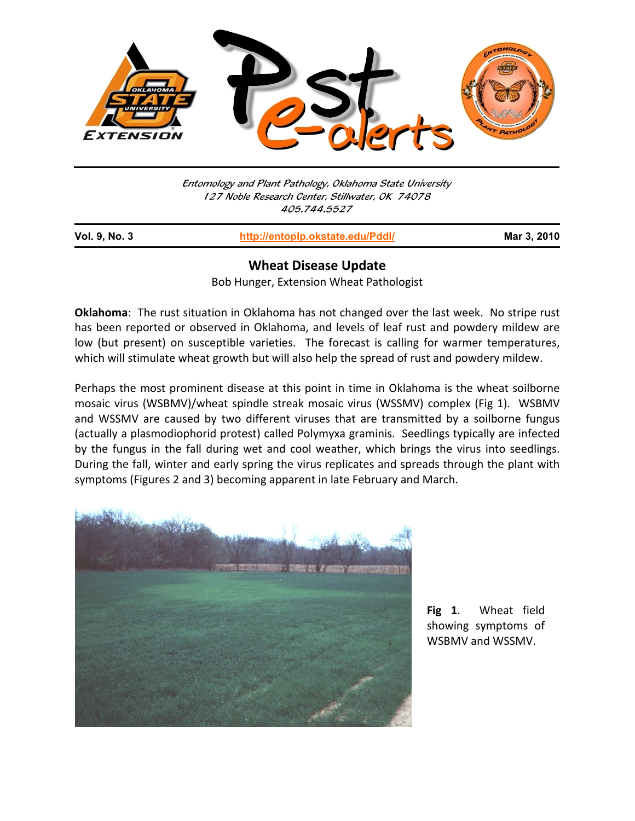

Entomology and Plant Pathology, Oklahoma State University 127 Noble Research Center, Stillwater, OK 74078 405.744.5527

j

**Vol. 9, No. 3 http://entoplp.okstate.edu/Pddl/ Mar 3, 2010**

## **Wheat Disease Update**

Bob Hunger, Extension Wheat Pathologist

**Oklahoma**: The rust situation in Oklahoma has not changed over the last week. No stripe rust has been reported or observed in Oklahoma, and levels of leaf rust and powdery mildew are low (but present) on susceptible varieties. The forecast is calling for warmer temperatures, which will stimulate wheat growth but will also help the spread of rust and powdery mildew.

Perhaps the most prominent disease at this point in time in Oklahoma is the wheat soilborne mosaic virus (WSBMV)/wheat spindle streak mosaic virus (WSSMV) complex (Fig 1). WSBMV and WSSMV are caused by two different viruses that are transmitted by a soilborne fungus (actually a plasmodiophorid protest) called Polymyxa graminis. Seedlings typically are infected by the fungus in the fall during wet and cool weather, which brings the virus into seedlings. During the fall, winter and early spring the virus replicates and spreads through the plant with symptoms (Figures 2 and 3) becoming apparent in late February and March.



**Fig 1**. Wheat field showing symptoms of WSBMV and WSSMV.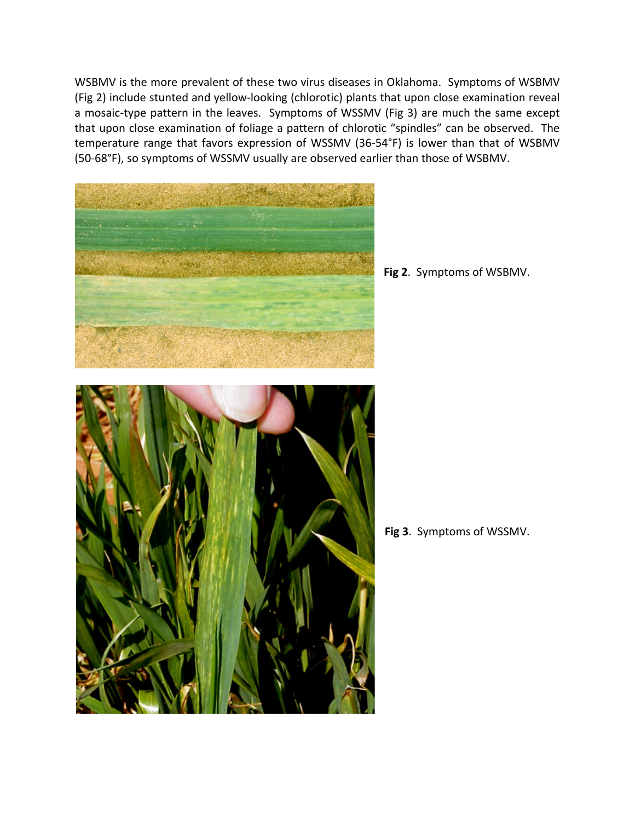WSBMV is the more prevalent of these two virus diseases in Oklahoma. Symptoms of WSBMV (Fig 2) include stunted and yellow‐looking (chlorotic) plants that upon close examination reveal a mosaic-type pattern in the leaves. Symptoms of WSSMV (Fig 3) are much the same except that upon close examination of foliage a pattern of chlorotic "spindles" can be observed. The temperature range that favors expression of WSSMV (36‐54°F) is lower than that of WSBMV (50‐68°F), so symptoms of WSSMV usually are observed earlier than those of WSBMV.



**Fig 2**. Symptoms of WSBMV.

**Fig 3**. Symptoms of WSSMV.